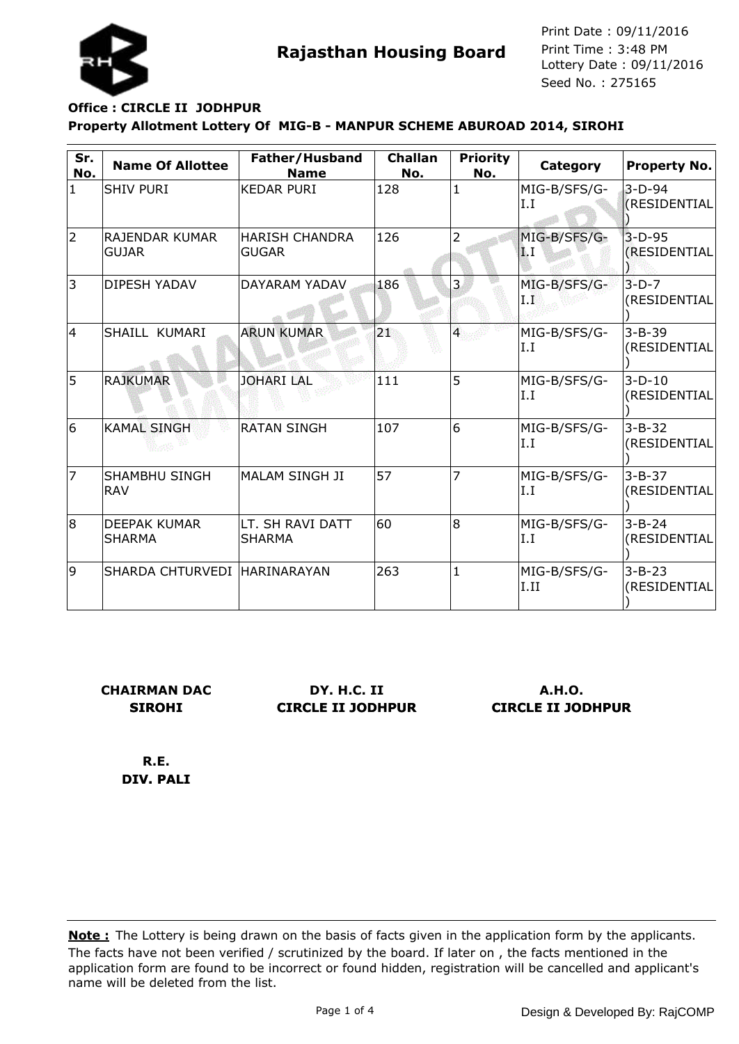

## **Property Allotment Lottery Of MIG-B - MANPUR SCHEME ABUROAD 2014, SIROHI Office : CIRCLE II JODHPUR**

| Sr.<br>No.     | <b>Name Of Allottee</b>               | Father/Husband<br><b>Name</b>  | <b>Challan</b><br>No. | <b>Priority</b><br>No. | Category              | <b>Property No.</b>             |
|----------------|---------------------------------------|--------------------------------|-----------------------|------------------------|-----------------------|---------------------------------|
| $\mathbf{1}$   | <b>SHIV PURI</b>                      | <b>KEDAR PURI</b>              | 128                   | $\mathbf{1}$           | MIG-B/SFS/G-<br>I.I   | $3-D-94$<br><b>(RESIDENTIAL</b> |
| $\overline{2}$ | <b>RAJENDAR KUMAR</b><br><b>GUJAR</b> | <b>HARISH CHANDRA</b><br>GUGAR | 126                   | 2                      | MIG-B/SFS/G-<br>ИI. Т | $3-D-95$<br>(RESIDENTIAL        |
| 3              | <b>DIPESH YADAV</b>                   | DAYARAM YADAV                  | 186                   | 3.                     | MIG-B/SFS/G-<br>L E   | $3-D-7$<br>(RESIDENTIAL         |
| $\overline{4}$ | SHAILL KUMARI                         | <b>ARUN KUMAR</b>              | 21                    | $\overline{4}$         | MIG-B/SFS/G-<br>I.I   | $3 - B - 39$<br>(RESIDENTIAL    |
| 5              | <b>RAJKUMAR</b>                       | <b>JOHARI LAL</b>              | 111                   | 5                      | MIG-B/SFS/G-<br>I.I   | $3-D-10$<br>(RESIDENTIAL        |
| 6              | <b>KAMAL SINGH</b>                    | <b>RATAN SINGH</b>             | 107                   | 6                      | MIG-B/SFS/G-<br>I.I   | $3 - B - 32$<br>(RESIDENTIAL    |
| 7              | <b>SHAMBHU SINGH</b><br><b>RAV</b>    | MALAM SINGH JI                 | 57                    | 7                      | MIG-B/SFS/G-<br>I.I   | $3 - B - 37$<br>(RESIDENTIAL    |
| 8              | <b>DEEPAK KUMAR</b><br>SHARMA         | LT. SH RAVI DATT<br>SHARMA     | 60                    | 8                      | MIG-B/SFS/G-<br>I.I   | $3 - B - 24$<br>(RESIDENTIAL    |
| 9              | SHARDA CHTURVEDI HARINARAYAN          |                                | 263                   | $\mathbf{1}$           | MIG-B/SFS/G-<br>I.II  | $3 - B - 23$<br>(RESIDENTIAL    |

**CHAIRMAN DAC SIROHI**

**DY. H.C. II CIRCLE II JODHPUR**

**A.H.O. CIRCLE II JODHPUR**

**R.E. DIV. PALI**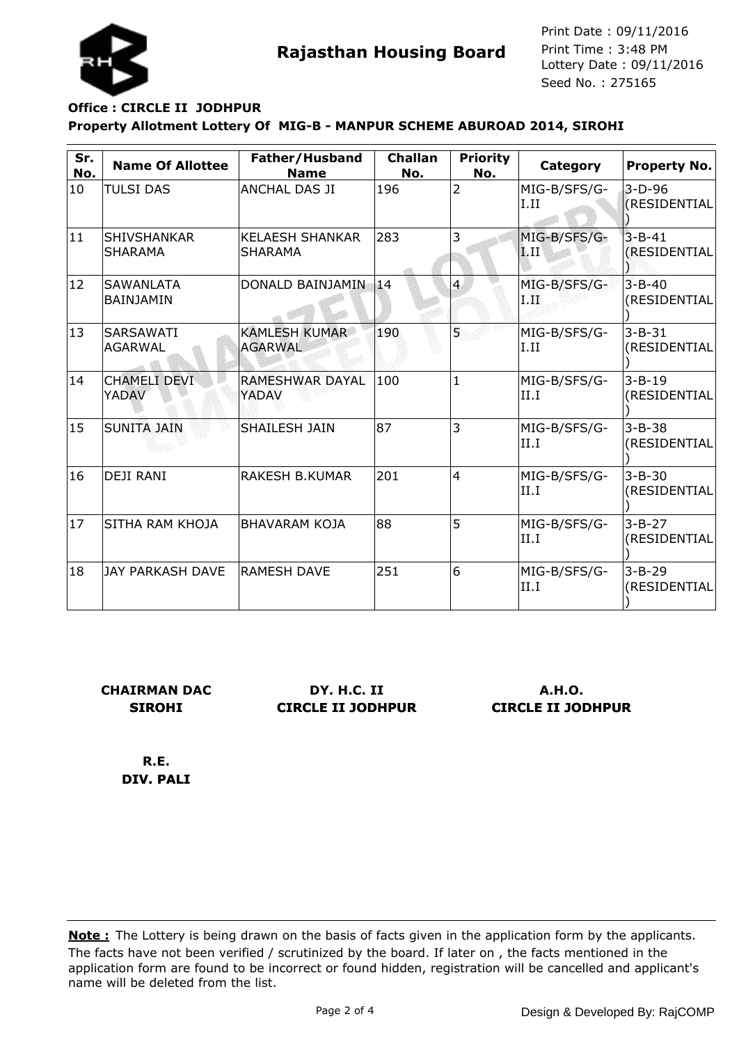

## **Property Allotment Lottery Of MIG-B - MANPUR SCHEME ABUROAD 2014, SIROHI Office : CIRCLE II JODHPUR**

| Sr.<br>No.   | <b>Name Of Allottee</b>              | Father/Husband<br><b>Name</b>            | <b>Challan</b><br>No. | <b>Priority</b><br>No. | Category                         | <b>Property No.</b>             |
|--------------|--------------------------------------|------------------------------------------|-----------------------|------------------------|----------------------------------|---------------------------------|
| 10           | <b>TULSI DAS</b>                     | <b>ANCHAL DAS JI</b>                     | 196                   | $\overline{2}$         | MIG-B/SFS/G-<br>I.II             | $3-D-96$<br><b>(RESIDENTIAL</b> |
| 11           | <b>SHIVSHANKAR</b><br><b>SHARAMA</b> | <b>KELAESH SHANKAR</b><br><b>SHARAMA</b> | 283                   | 3                      | MIG-B/SFS/G-<br>$\mathbf{I}$ .II | $3 - B - 41$<br>(RESIDENTIAL    |
| $ 12\rangle$ | <b>SAWANLATA</b><br>BAINJAMIN        | DONALD BAINJAMIN                         | 14                    | $\overline{4}$         | MIG-B/SFS/G-<br>I.H              | $3 - B - 40$<br>(RESIDENTIAL    |
| 13           | <b>SARSAWATI</b><br>AGARWAL          | <b>KAMLESH KUMAR</b><br><b>AGARWAL</b>   | 190                   | 5.                     | MIG-B/SFS/G-<br>I.II             | $3 - B - 31$<br>(RESIDENTIAL    |
| 14           | <b>CHAMELI DEVI</b><br><b>YADAV</b>  | <b>RAMESHWAR DAYAL</b><br><b>YADAV</b>   | 100                   | $\mathbf{1}$           | MIG-B/SFS/G-<br>II.I             | $3 - B - 19$<br>(RESIDENTIAL    |
| 15           | <b>SUNITA JAIN</b>                   | SHAILESH JAIN                            | 87                    | 3                      | MIG-B/SFS/G-<br>II.I             | $3 - B - 38$<br>(RESIDENTIAL    |
| 16           | <b>DEJI RANI</b>                     | <b>RAKESH B.KUMAR</b>                    | 201                   | $\overline{4}$         | MIG-B/SFS/G-<br>II.I             | $3 - B - 30$<br>(RESIDENTIAL    |
| 17           | SITHA RAM KHOJA                      | BHAVARAM KOJA                            | 88                    | 5                      | MIG-B/SFS/G-<br>II.I             | $3 - B - 27$<br>(RESIDENTIAL    |
| 18           | <b>JAY PARKASH DAVE</b>              | RAMESH DAVE                              | 251                   | 6                      | MIG-B/SFS/G-<br>II.I             | $3 - B - 29$<br>(RESIDENTIAL    |

**CHAIRMAN DAC SIROHI**

**DY. H.C. II CIRCLE II JODHPUR**

**A.H.O. CIRCLE II JODHPUR**

**R.E. DIV. PALI**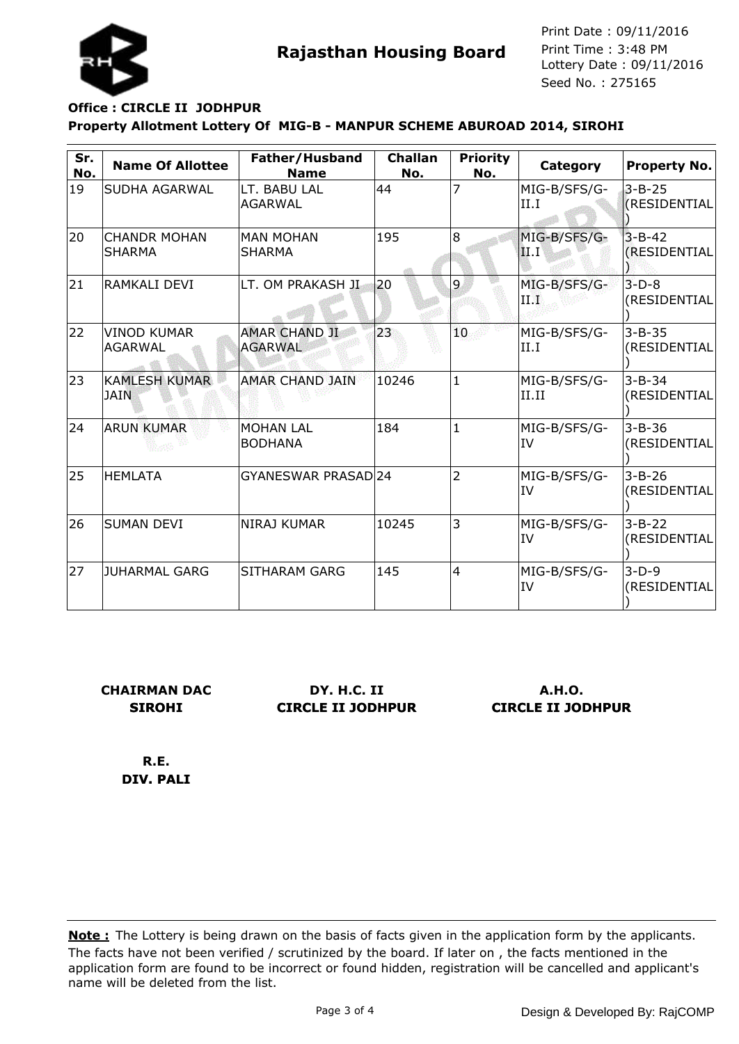

## **Property Allotment Lottery Of MIG-B - MANPUR SCHEME ABUROAD 2014, SIROHI Office : CIRCLE II JODHPUR**

| Sr.<br>No. | <b>Name Of Allottee</b>              | Father/Husband<br><b>Name</b>          | <b>Challan</b><br>No. | <b>Priority</b><br>No. | Category                  | <b>Property No.</b>                 |
|------------|--------------------------------------|----------------------------------------|-----------------------|------------------------|---------------------------|-------------------------------------|
| 19         | SUDHA AGARWAL                        | LT. BABU LAL<br>AGARWAL                | 44                    | 7                      | MIG-B/SFS/G-<br>II.I      | $3 - B - 25$<br><b>(RESIDENTIAL</b> |
| 20         | <b>CHANDR MOHAN</b><br><b>SHARMA</b> | MAN MOHAN<br><b>SHARMA</b>             | 195                   | 8                      | MIG-B/SFS/G-<br> II.I'    | $3 - B - 42$<br>(RESIDENTIAL        |
| 21         | RAMKALI DEVI                         | LT. OM PRAKASH JI                      | 20                    | 9                      | MIG-B/SFS/G-<br>ПD        | $3-D-8$<br>(RESIDENTIAL             |
| 22         | <b>VINOD KUMAR</b><br><b>AGARWAL</b> | <b>AMAR CHAND JI</b><br><b>AGARWAL</b> | 23                    | 10                     | MIG-B/SFS/G-<br>II.I      | $3 - B - 35$<br>(RESIDENTIAL        |
| 23         | <b>KAMLESH KUMAR</b><br><b>JAIN</b>  | <b>AMAR CHAND JAIN</b>                 | 10246                 | $\mathbf{1}$           | MIG-B/SFS/G-<br>II.II     | $3 - B - 34$<br>(RESIDENTIAL        |
| 24         | <b>ARUN KUMAR</b>                    | <b>MOHAN LAL</b><br><b>BODHANA</b>     | 184                   | $\mathbf{1}$           | MIG-B/SFS/G-<br>IV        | $3 - B - 36$<br>(RESIDENTIAL        |
| 25         | <b>HEMLATA</b>                       | GYANESWAR PRASAD 24                    |                       | $\overline{2}$         | MIG-B/SFS/G-<br><b>IV</b> | $3 - B - 26$<br>(RESIDENTIAL        |
| 26         | <b>SUMAN DEVI</b>                    | NIRAJ KUMAR                            | 10245                 | 3                      | MIG-B/SFS/G-<br><b>IV</b> | $3 - B - 22$<br>(RESIDENTIAL        |
| 27         | JUHARMAL GARG                        | <b>SITHARAM GARG</b>                   | 145                   | 4                      | MIG-B/SFS/G-<br>IV        | $3-D-9$<br>(RESIDENTIAL             |

**CHAIRMAN DAC SIROHI**

**DY. H.C. II CIRCLE II JODHPUR**

**A.H.O. CIRCLE II JODHPUR**

**R.E. DIV. PALI**